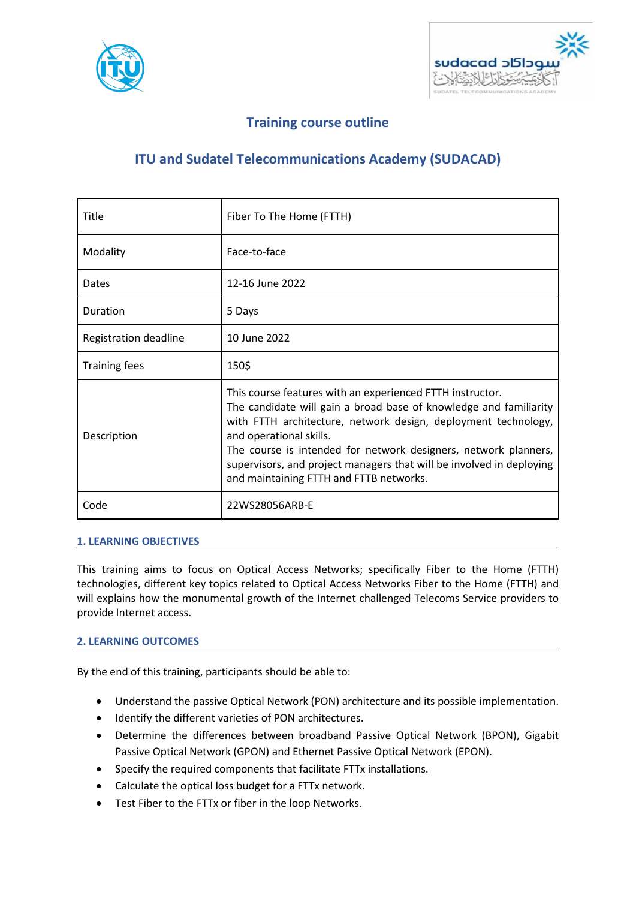



# **Training course outline**

# **ITU and Sudatel Telecommunications Academy (SUDACAD)**

| Title                 | Fiber To The Home (FTTH)                                                                                                                                                                                                                                                                                                                                                                                          |
|-----------------------|-------------------------------------------------------------------------------------------------------------------------------------------------------------------------------------------------------------------------------------------------------------------------------------------------------------------------------------------------------------------------------------------------------------------|
| Modality              | Face-to-face                                                                                                                                                                                                                                                                                                                                                                                                      |
| Dates                 | 12-16 June 2022                                                                                                                                                                                                                                                                                                                                                                                                   |
| Duration              | 5 Days                                                                                                                                                                                                                                                                                                                                                                                                            |
| Registration deadline | 10 June 2022                                                                                                                                                                                                                                                                                                                                                                                                      |
| <b>Training fees</b>  | 150\$                                                                                                                                                                                                                                                                                                                                                                                                             |
| Description           | This course features with an experienced FTTH instructor.<br>The candidate will gain a broad base of knowledge and familiarity<br>with FTTH architecture, network design, deployment technology,<br>and operational skills.<br>The course is intended for network designers, network planners,<br>supervisors, and project managers that will be involved in deploying<br>and maintaining FTTH and FTTB networks. |
| Code                  | 22WS28056ARB-E                                                                                                                                                                                                                                                                                                                                                                                                    |

#### **1. LEARNING OBJECTIVES**

This training aims to focus on Optical Access Networks; specifically Fiber to the Home (FTTH) technologies, different key topics related to Optical Access Networks Fiber to the Home (FTTH) and will explains how the monumental growth of the Internet challenged Telecoms Service providers to provide Internet access.

#### **2. LEARNING OUTCOMES**

By the end of this training, participants should be able to:

- Understand the passive Optical Network (PON) architecture and its possible implementation.
- Identify the different varieties of PON architectures.
- Determine the differences between broadband Passive Optical Network (BPON), Gigabit Passive Optical Network (GPON) and Ethernet Passive Optical Network (EPON).
- Specify the required components that facilitate FTTx installations.
- Calculate the optical loss budget for a FTTx network.
- Test Fiber to the FTTx or fiber in the loop Networks.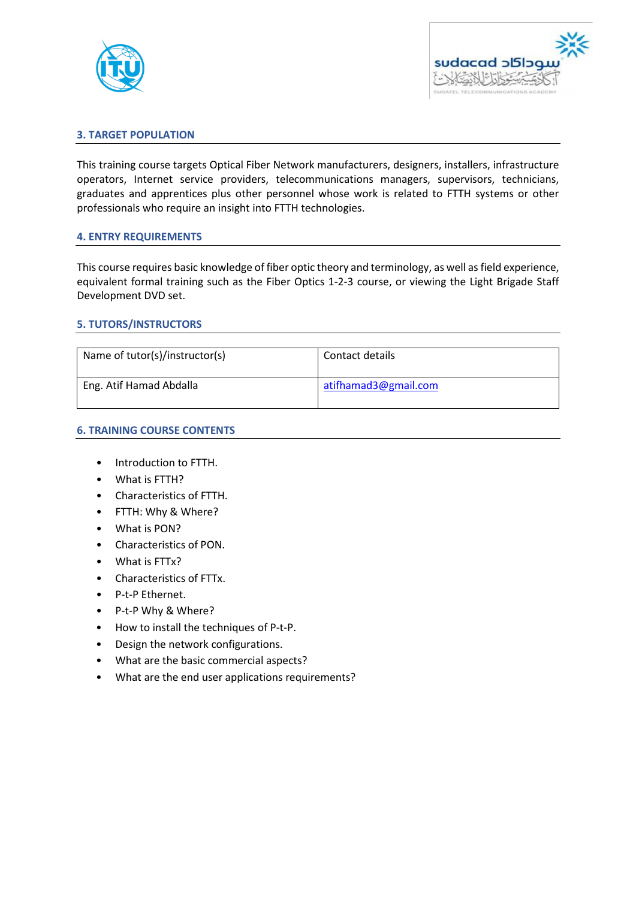



# **3. TARGET POPULATION**

This training course targets Optical Fiber Network manufacturers, designers, installers, infrastructure operators, Internet service providers, telecommunications managers, supervisors, technicians, graduates and apprentices plus other personnel whose work is related to FTTH systems or other professionals who require an insight into FTTH technologies.

#### **4. ENTRY REQUIREMENTS**

This course requires basic knowledge of fiber optic theory and terminology, as well as field experience, equivalent formal training such as the Fiber Optics 1-2-3 course, or viewing the Light Brigade Staff Development DVD set.

#### **5. TUTORS/INSTRUCTORS**

| Name of tutor(s)/instructor(s) | Contact details      |
|--------------------------------|----------------------|
| Eng. Atif Hamad Abdalla        | atifhamad3@gmail.com |

#### **6. TRAINING COURSE CONTENTS**

- Introduction to FTTH.
- What is FTTH?
- Characteristics of FTTH.
- FTTH: Why & Where?
- What is PON?
- Characteristics of PON.
- What is FTTx?
- Characteristics of FTTx.
- P-t-P Ethernet.
- P-t-P Why & Where?
- How to install the techniques of P-t-P.
- Design the network configurations.
- What are the basic commercial aspects?
- What are the end user applications requirements?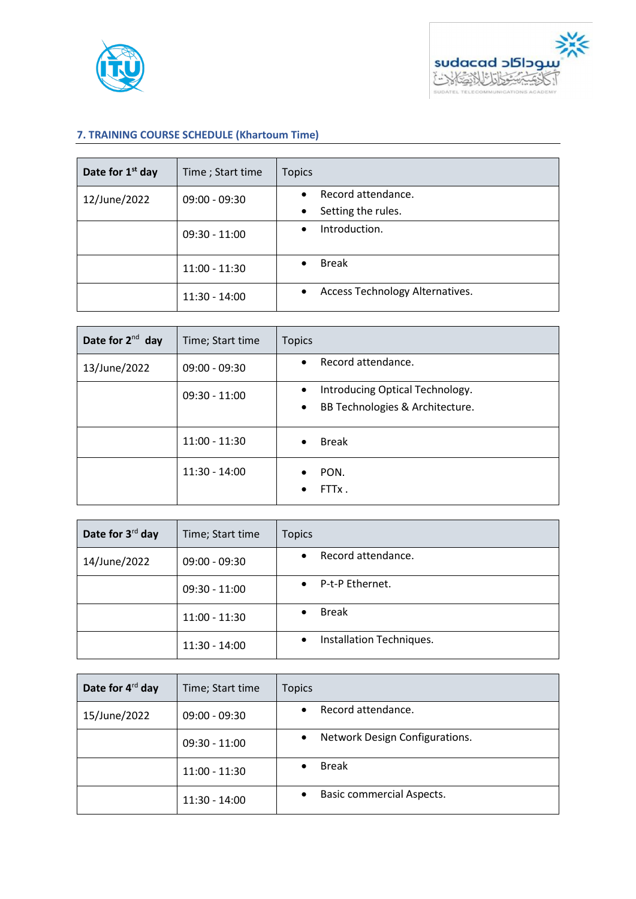



# **7. TRAINING COURSE SCHEDULE (Khartoum Time)**

| Date for 1 <sup>st</sup> day    | Time; Start time                | <b>Topics</b>                                |
|---------------------------------|---------------------------------|----------------------------------------------|
| 12/June/2022<br>$09:00 - 09:30$ | Record attendance.<br>$\bullet$ |                                              |
|                                 |                                 | Setting the rules.<br>$\bullet$              |
|                                 | $09:30 - 11:00$                 | Introduction.<br>$\bullet$                   |
|                                 | $11:00 - 11:30$                 | <b>Break</b>                                 |
|                                 | $11:30 - 14:00$                 | Access Technology Alternatives.<br>$\bullet$ |

| Date for $2^{nd}$ day | Time; Start time | <b>Topics</b>                                                                                |
|-----------------------|------------------|----------------------------------------------------------------------------------------------|
| 13/June/2022          | $09:00 - 09:30$  | Record attendance.<br>$\bullet$                                                              |
|                       | $09:30 - 11:00$  | Introducing Optical Technology.<br>$\bullet$<br>BB Technologies & Architecture.<br>$\bullet$ |
|                       | $11:00 - 11:30$  | <b>Break</b><br>$\bullet$                                                                    |
|                       | 11:30 - 14:00    | PON.<br>FTTx.                                                                                |

| Date for 3 <sup>rd</sup> day | Time; Start time | <b>Topics</b>                |
|------------------------------|------------------|------------------------------|
| 14/June/2022                 | $09:00 - 09:30$  | Record attendance.           |
|                              | $09:30 - 11:00$  | P-t-P Ethernet.<br>$\bullet$ |
|                              | $11:00 - 11:30$  | <b>Break</b>                 |
|                              | $11:30 - 14:00$  | Installation Techniques.     |

| Date for 4 <sup>rd</sup> day | Time; Start time | <b>Topics</b>                    |
|------------------------------|------------------|----------------------------------|
| 15/June/2022                 | $09:00 - 09:30$  | Record attendance.               |
|                              | $09:30 - 11:00$  | Network Design Configurations.   |
|                              | $11:00 - 11:30$  | <b>Break</b>                     |
|                              | $11:30 - 14:00$  | <b>Basic commercial Aspects.</b> |